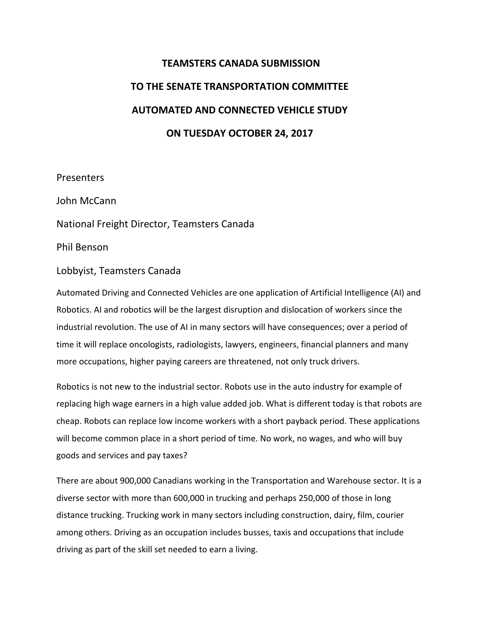## **TEAMSTERS CANADA SUBMISSION TO THE SENATE TRANSPORTATION COMMITTEE AUTOMATED AND CONNECTED VEHICLE STUDY ON TUESDAY OCTOBER 24, 2017**

**Presenters** 

John McCann

National Freight Director, Teamsters Canada

Phil Benson

## Lobbyist, Teamsters Canada

Automated Driving and Connected Vehicles are one application of Artificial Intelligence (AI) and Robotics. AI and robotics will be the largest disruption and dislocation of workers since the industrial revolution. The use of AI in many sectors will have consequences; over a period of time it will replace oncologists, radiologists, lawyers, engineers, financial planners and many more occupations, higher paying careers are threatened, not only truck drivers.

Robotics is not new to the industrial sector. Robots use in the auto industry for example of replacing high wage earners in a high value added job. What is different today is that robots are cheap. Robots can replace low income workers with a short payback period. These applications will become common place in a short period of time. No work, no wages, and who will buy goods and services and pay taxes?

There are about 900,000 Canadians working in the Transportation and Warehouse sector. It is a diverse sector with more than 600,000 in trucking and perhaps 250,000 of those in long distance trucking. Trucking work in many sectors including construction, dairy, film, courier among others. Driving as an occupation includes busses, taxis and occupations that include driving as part of the skill set needed to earn a living.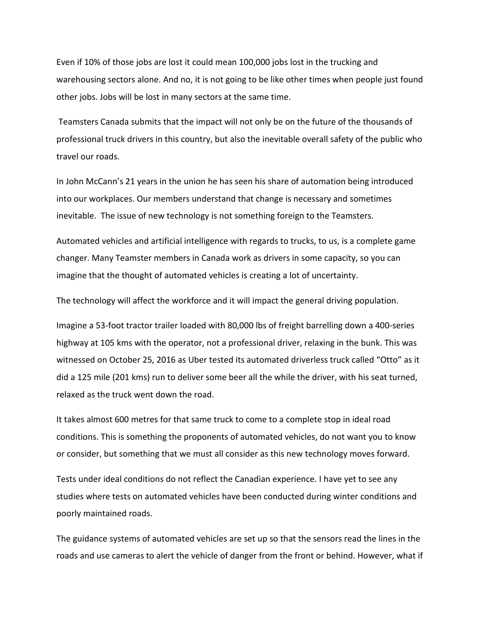Even if 10% of those jobs are lost it could mean 100,000 jobs lost in the trucking and warehousing sectors alone. And no, it is not going to be like other times when people just found other jobs. Jobs will be lost in many sectors at the same time.

Teamsters Canada submits that the impact will not only be on the future of the thousands of professional truck drivers in this country, but also the inevitable overall safety of the public who travel our roads.

In John McCann's 21 years in the union he has seen his share of automation being introduced into our workplaces. Our members understand that change is necessary and sometimes inevitable. The issue of new technology is not something foreign to the Teamsters.

Automated vehicles and artificial intelligence with regards to trucks, to us, is a complete game changer. Many Teamster members in Canada work as drivers in some capacity, so you can imagine that the thought of automated vehicles is creating a lot of uncertainty.

The technology will affect the workforce and it will impact the general driving population.

Imagine a 53-foot tractor trailer loaded with 80,000 lbs of freight barrelling down a 400-series highway at 105 kms with the operator, not a professional driver, relaxing in the bunk. This was witnessed on October 25, 2016 as Uber tested its automated driverless truck called "Otto" as it did a 125 mile (201 kms) run to deliver some beer all the while the driver, with his seat turned, relaxed as the truck went down the road.

It takes almost 600 metres for that same truck to come to a complete stop in ideal road conditions. This is something the proponents of automated vehicles, do not want you to know or consider, but something that we must all consider as this new technology moves forward.

Tests under ideal conditions do not reflect the Canadian experience. I have yet to see any studies where tests on automated vehicles have been conducted during winter conditions and poorly maintained roads.

The guidance systems of automated vehicles are set up so that the sensors read the lines in the roads and use cameras to alert the vehicle of danger from the front or behind. However, what if